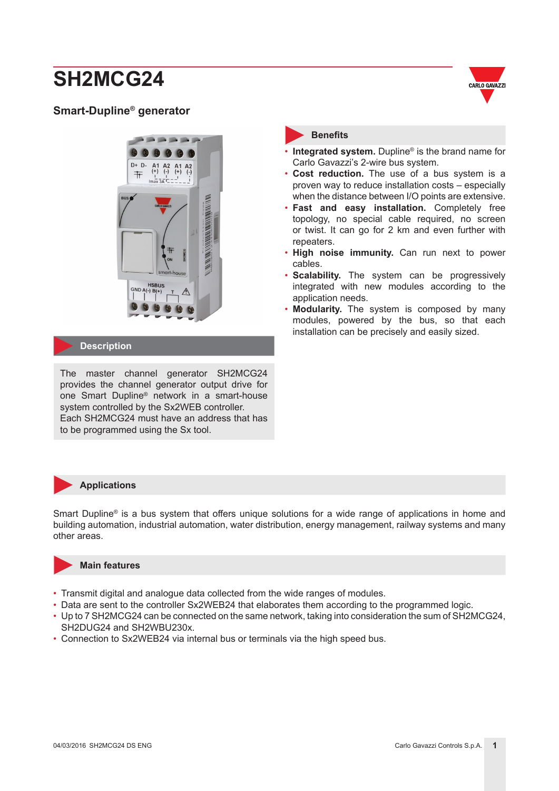### **Smart-Dupline® generator**





#### **Description**

The master channel generator SH2MCG24 provides the channel generator output drive for one Smart Dupline® network in a smart-house system controlled by the Sx2WEB controller. Each SH2MCG24 must have an address that has to be programmed using the Sx tool.

#### **Benefits**

- **Integrated system.** Dupline® is the brand name for Carlo Gavazzi's 2-wire bus system.
- **Cost reduction.** The use of a bus system is a proven way to reduce installation costs – especially when the distance between I/O points are extensive.
- **Fast and easy installation.** Completely free topology, no special cable required, no screen or twist. It can go for 2 km and even further with repeaters.
- **High noise immunity.** Can run next to power cables.
- **Scalability.** The system can be progressively integrated with new modules according to the application needs.
- **Modularity.** The system is composed by many modules, powered by the bus, so that each installation can be precisely and easily sized.

#### **Applications**

Smart Dupline® is a bus system that offers unique solutions for a wide range of applications in home and building automation, industrial automation, water distribution, energy management, railway systems and many other areas.



#### **Main features**

- Transmit digital and analogue data collected from the wide ranges of modules.
- Data are sent to the controller Sx2WEB24 that elaborates them according to the programmed logic.
- Up to 7 SH2MCG24 can be connected on the same network, taking into consideration the sum of SH2MCG24, SH2DUG24 and SH2WBU230x.
- Connection to Sx2WEB24 via internal bus or terminals via the high speed bus.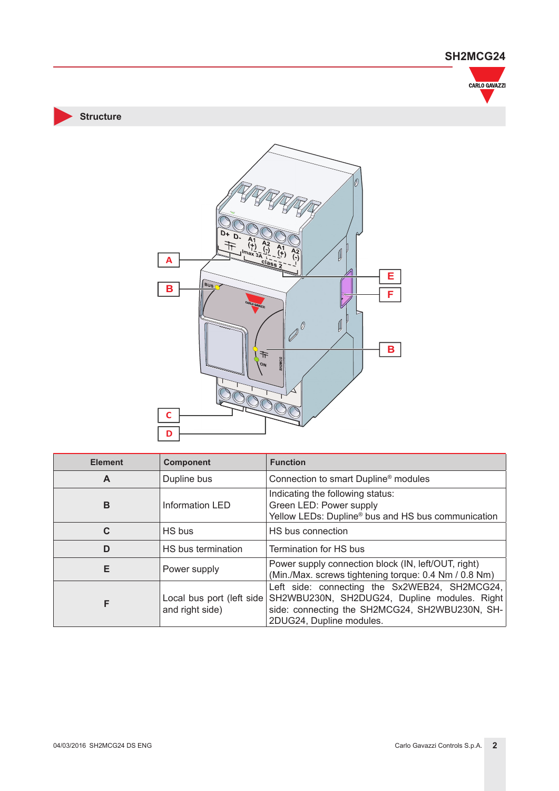

**Structure**



| <b>Element</b> | <b>Component</b>                                                | <b>Function</b>                                                                                                                                                             |  |
|----------------|-----------------------------------------------------------------|-----------------------------------------------------------------------------------------------------------------------------------------------------------------------------|--|
| A              | Connection to smart Dupline <sup>®</sup> modules<br>Dupline bus |                                                                                                                                                                             |  |
| B              | <b>Information LED</b>                                          | Indicating the following status:<br>Green LED: Power supply<br>Yellow LEDs: Dupline <sup>®</sup> bus and HS bus communication                                               |  |
| C              | HS bus                                                          | HS bus connection                                                                                                                                                           |  |
| D              | HS bus termination                                              | Termination for HS bus                                                                                                                                                      |  |
| E              | Power supply                                                    | Power supply connection block (IN, left/OUT, right)<br>(Min./Max. screws tightening torque: 0.4 Nm / 0.8 Nm)                                                                |  |
| F              | Local bus port (left side<br>and right side)                    | Left side: connecting the Sx2WEB24, SH2MCG24,<br>SH2WBU230N, SH2DUG24, Dupline modules. Right<br>side: connecting the SH2MCG24, SH2WBU230N, SH-<br>2DUG24, Dupline modules. |  |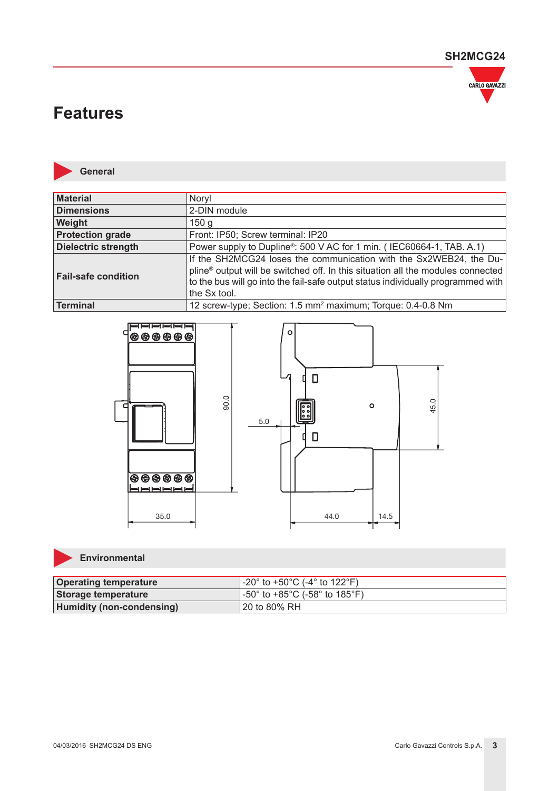

## **Features**



**General**

| Material                   | Noryl                                                                                                                                                                                                                                                     |
|----------------------------|-----------------------------------------------------------------------------------------------------------------------------------------------------------------------------------------------------------------------------------------------------------|
| <b>Dimensions</b>          | 2-DIN module                                                                                                                                                                                                                                              |
| Weight                     | 150 <sub>q</sub>                                                                                                                                                                                                                                          |
| <b>Protection grade</b>    | Front: IP50; Screw terminal: IP20                                                                                                                                                                                                                         |
| <b>Dielectric strength</b> | Power supply to Dupline <sup>®</sup> : 500 V AC for 1 min. (IEC60664-1, TAB. A.1)                                                                                                                                                                         |
| <b>Fail-safe condition</b> | If the SH2MCG24 loses the communication with the Sx2WEB24, the Du-<br>pline® output will be switched off. In this situation all the modules connected<br>to the bus will go into the fail-safe output status individually programmed with<br>the Sx tool. |
| Terminal                   | 12 screw-type; Section: 1.5 mm <sup>2</sup> maximum; Torque: 0.4-0.8 Nm                                                                                                                                                                                   |



#### **Environmental**

| <b>Operating temperature</b>     | -20° to +50°C (-4° to 122°F)             |
|----------------------------------|------------------------------------------|
| Storage temperature              | $\sqrt{1}$ -50° to +85°C (-58° to 185°F) |
| <b>Humidity (non-condensing)</b> | ' 20 to 80% RH                           |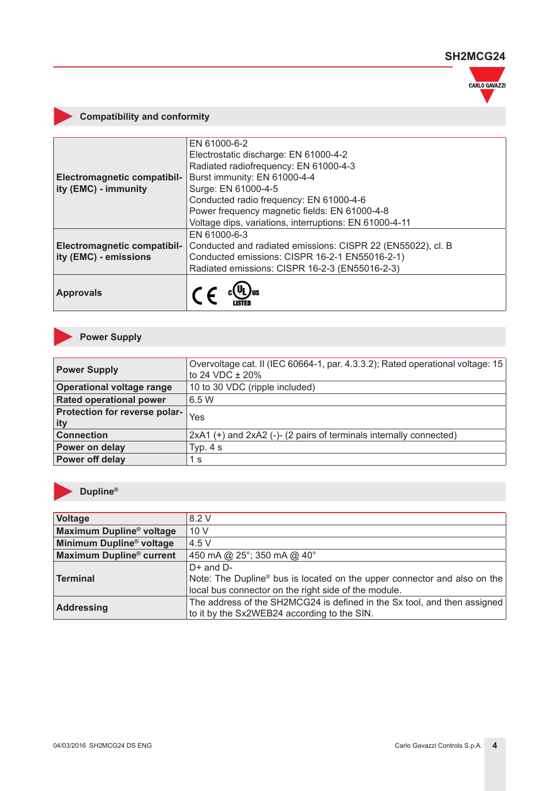

### **Compatibility and conformity**

|                                    | EN 61000-6-2                                                |  |
|------------------------------------|-------------------------------------------------------------|--|
|                                    | Electrostatic discharge: EN 61000-4-2                       |  |
|                                    | Radiated radiofrequency: EN 61000-4-3                       |  |
| <b>Electromagnetic compatibil-</b> | Burst immunity: EN 61000-4-4                                |  |
| ity (EMC) - immunity               | Surge: EN 61000-4-5                                         |  |
|                                    | Conducted radio frequency: EN 61000-4-6                     |  |
|                                    | Power frequency magnetic fields: EN 61000-4-8               |  |
|                                    | Voltage dips, variations, interruptions: EN 61000-4-11      |  |
|                                    | EN 61000-6-3                                                |  |
| <b>Electromagnetic compatibil-</b> | Conducted and radiated emissions: CISPR 22 (EN55022), cl. B |  |
| ity (EMC) - emissions              | Conducted emissions: CISPR 16-2-1 EN55016-2-1)              |  |
|                                    | Radiated emissions: CISPR 16-2-3 (EN55016-2-3)              |  |
| <b>Approvals</b>                   |                                                             |  |

## **Power Supply**

| <b>Power Supply</b>                  | Overvoltage cat. II (IEC 60664-1, par. 4.3.3.2); Rated operational voltage: 15<br>to 24 VDC $\pm$ 20% |
|--------------------------------------|-------------------------------------------------------------------------------------------------------|
| <b>Operational voltage range</b>     | 10 to 30 VDC (ripple included)                                                                        |
| <b>Rated operational power</b>       | 6.5 W                                                                                                 |
| Protection for reverse polar-<br>ity | Yes                                                                                                   |
| <b>Connection</b>                    | 2xA1 (+) and 2xA2 (-)- (2 pairs of terminals internally connected)                                    |
| Power on delay                       | Typ. $4 s$                                                                                            |
| <b>Power off delay</b>               | 1 s                                                                                                   |



## **Dupline®**

| Voltage                              | 8.2 V                                                                                |
|--------------------------------------|--------------------------------------------------------------------------------------|
|                                      |                                                                                      |
| Maximum Dupline <sup>®</sup> voltage | 10V                                                                                  |
| Minimum Dupline <sup>®</sup> voltage | 4.5 V                                                                                |
| <b>Maximum Dupline® current</b>      | 450 mA @ 25°; 350 mA @ 40°                                                           |
|                                      | $D+$ and $D-$                                                                        |
| <b>Terminal</b>                      | Note: The Dupline <sup>®</sup> bus is located on the upper connector and also on the |
|                                      | local bus connector on the right side of the module.                                 |
| <b>Addressing</b>                    | The address of the SH2MCG24 is defined in the Sx tool, and then assigned             |
|                                      | to it by the Sx2WEB24 according to the SIN.                                          |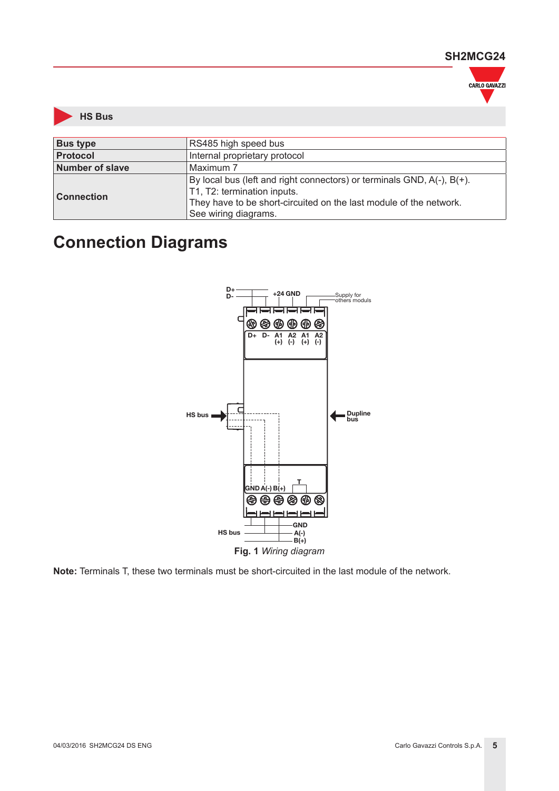



| <b>Bus type</b>   | RS485 high speed bus                                                                                                                                                                                |  |
|-------------------|-----------------------------------------------------------------------------------------------------------------------------------------------------------------------------------------------------|--|
| <b>Protocol</b>   | Internal proprietary protocol                                                                                                                                                                       |  |
| Number of slave   | Maximum 7                                                                                                                                                                                           |  |
| <b>Connection</b> | By local bus (left and right connectors) or terminals GND, A(-), B(+).<br>T1, T2: termination inputs.<br>They have to be short-circuited on the last module of the network.<br>See wiring diagrams. |  |

## **Connection Diagrams**



**Note:** Terminals T, these two terminals must be short-circuited in the last module of the network.